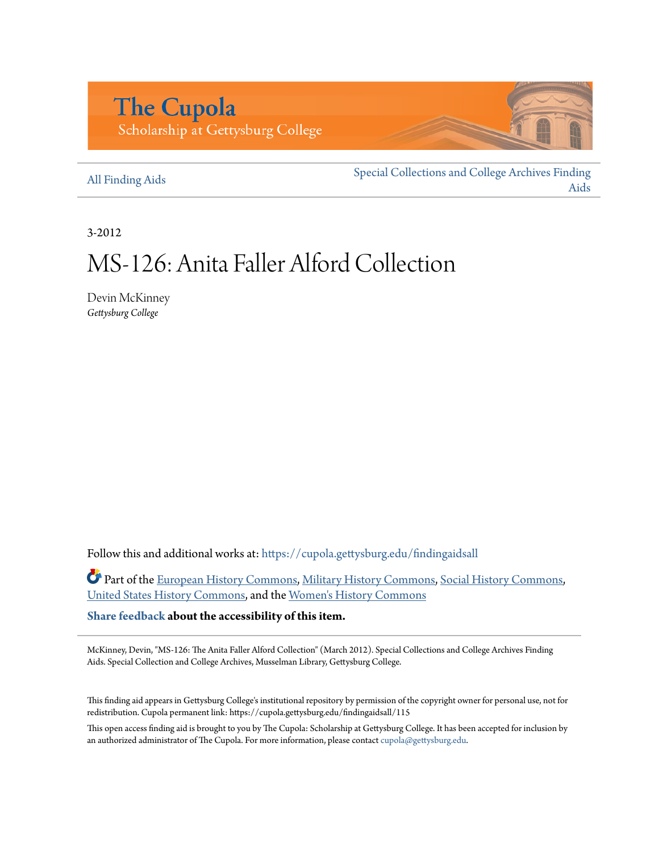# **The Cupola** Scholarship at Gettysburg College

#### [All Finding Aids](https://cupola.gettysburg.edu/findingaidsall?utm_source=cupola.gettysburg.edu%2Ffindingaidsall%2F115&utm_medium=PDF&utm_campaign=PDFCoverPages)

[Special Collections and College Archives Finding](https://cupola.gettysburg.edu/findingaids?utm_source=cupola.gettysburg.edu%2Ffindingaidsall%2F115&utm_medium=PDF&utm_campaign=PDFCoverPages) [Aids](https://cupola.gettysburg.edu/findingaids?utm_source=cupola.gettysburg.edu%2Ffindingaidsall%2F115&utm_medium=PDF&utm_campaign=PDFCoverPages)

3-2012

# MS-126: Anita Faller Alford Collection

Devin McKinney *Gettysburg College*

Follow this and additional works at: [https://cupola.gettysburg.edu/findingaidsall](https://cupola.gettysburg.edu/findingaidsall?utm_source=cupola.gettysburg.edu%2Ffindingaidsall%2F115&utm_medium=PDF&utm_campaign=PDFCoverPages)

Part of the [European History Commons](http://network.bepress.com/hgg/discipline/492?utm_source=cupola.gettysburg.edu%2Ffindingaidsall%2F115&utm_medium=PDF&utm_campaign=PDFCoverPages), [Military History Commons](http://network.bepress.com/hgg/discipline/504?utm_source=cupola.gettysburg.edu%2Ffindingaidsall%2F115&utm_medium=PDF&utm_campaign=PDFCoverPages), [Social History Commons](http://network.bepress.com/hgg/discipline/506?utm_source=cupola.gettysburg.edu%2Ffindingaidsall%2F115&utm_medium=PDF&utm_campaign=PDFCoverPages), [United States History Commons,](http://network.bepress.com/hgg/discipline/495?utm_source=cupola.gettysburg.edu%2Ffindingaidsall%2F115&utm_medium=PDF&utm_campaign=PDFCoverPages) and the [Women's History Commons](http://network.bepress.com/hgg/discipline/507?utm_source=cupola.gettysburg.edu%2Ffindingaidsall%2F115&utm_medium=PDF&utm_campaign=PDFCoverPages)

**[Share feedback](https://docs.google.com/a/bepress.com/forms/d/1h9eEcpBPj5POs5oO6Y5A0blXRmZqykoonyYiZUNyEq8/viewform) about the accessibility of this item.**

McKinney, Devin, "MS-126: The Anita Faller Alford Collection" (March 2012). Special Collections and College Archives Finding Aids. Special Collection and College Archives, Musselman Library, Gettysburg College.

This finding aid appears in Gettysburg College's institutional repository by permission of the copyright owner for personal use, not for redistribution. Cupola permanent link: https://cupola.gettysburg.edu/findingaidsall/115

This open access finding aid is brought to you by The Cupola: Scholarship at Gettysburg College. It has been accepted for inclusion by an authorized administrator of The Cupola. For more information, please contact [cupola@gettysburg.edu](mailto:cupola@gettysburg.edu).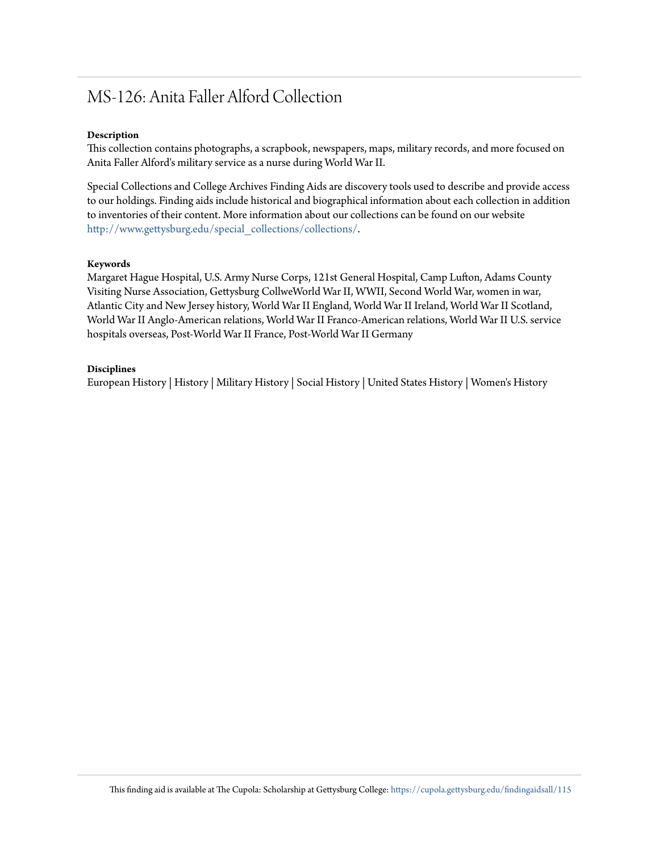# MS-126: Anita Faller Alford Collection

#### **Description**

This collection contains photographs, a scrapbook, newspapers, maps, military records, and more focused on Anita Faller Alford's military service as a nurse during World War II.

Special Collections and College Archives Finding Aids are discovery tools used to describe and provide access to our holdings. Finding aids include historical and biographical information about each collection in addition to inventories of their content. More information about our collections can be found on our website [http://www.gettysburg.edu/special\\_collections/collections/](http://www.gettysburg.edu/special_collections/collections/).

#### **Keywords**

Margaret Hague Hospital, U.S. Army Nurse Corps, 121st General Hospital, Camp Lufton, Adams County Visiting Nurse Association, Gettysburg CollweWorld War II, WWII, Second World War, women in war, Atlantic City and New Jersey history, World War II England, World War II Ireland, World War II Scotland, World War II Anglo-American relations, World War II Franco-American relations, World War II U.S. service hospitals overseas, Post-World War II France, Post-World War II Germany

#### **Disciplines**

European History | History | Military History | Social History | United States History | Women's History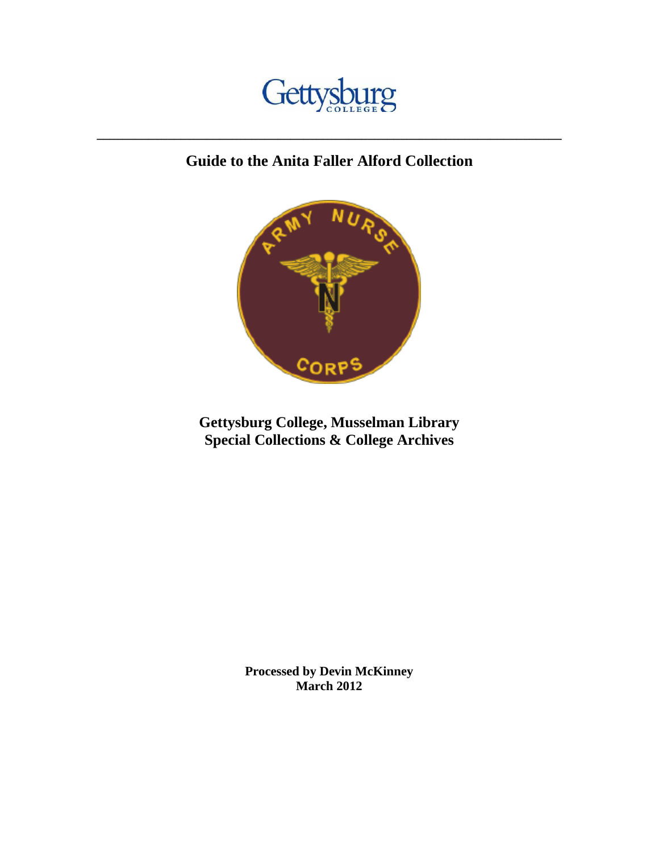

# **Guide to the Anita Faller Alford Collection**

**\_\_\_\_\_\_\_\_\_\_\_\_\_\_\_\_\_\_\_\_\_\_\_\_\_\_\_\_\_\_\_\_\_\_\_\_\_\_\_\_\_\_\_\_\_\_\_\_\_\_\_\_\_\_\_\_\_\_\_\_\_\_\_\_\_\_\_\_\_\_\_\_**



**Gettysburg College, Musselman Library Special Collections & College Archives**

> **Processed by Devin McKinney March 2012**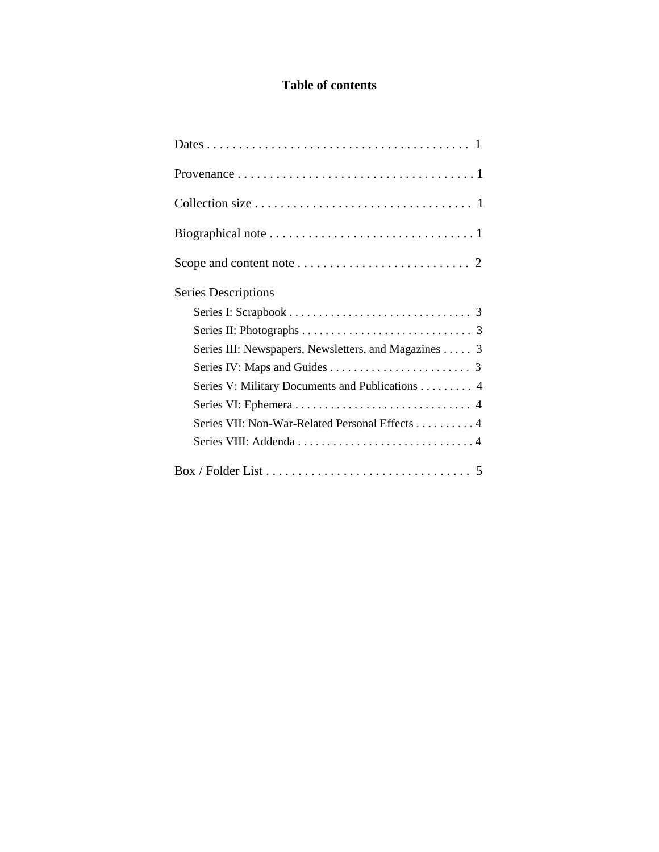# **Table of contents**

| <b>Series Descriptions</b>                           |
|------------------------------------------------------|
|                                                      |
|                                                      |
| Series III: Newspapers, Newsletters, and Magazines 3 |
|                                                      |
| Series V: Military Documents and Publications 4      |
|                                                      |
| Series VII: Non-War-Related Personal Effects 4       |
|                                                      |
|                                                      |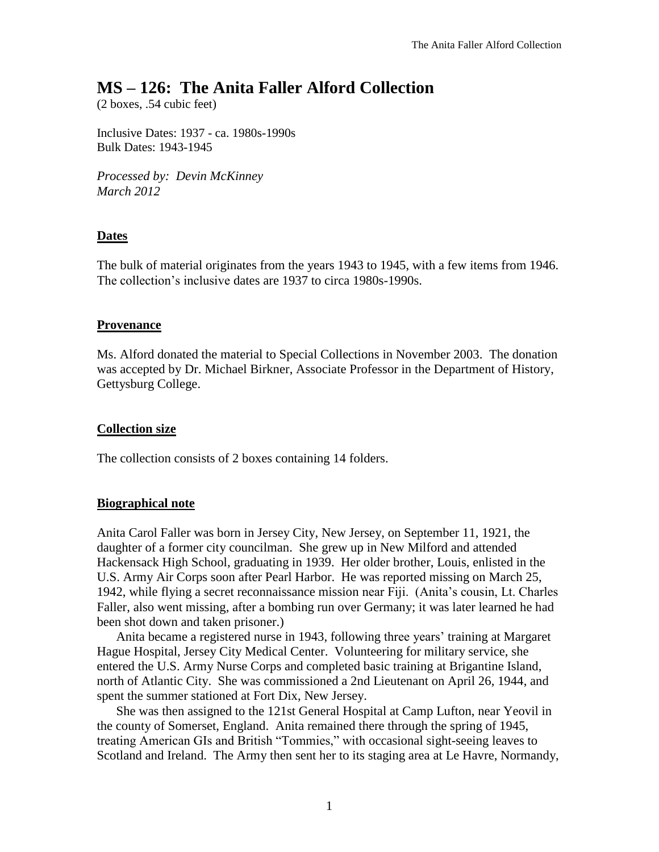# **MS – 126: The Anita Faller Alford Collection**

(2 boxes, .54 cubic feet)

Inclusive Dates: 1937 - ca. 1980s-1990s Bulk Dates: 1943-1945

*Processed by: Devin McKinney March 2012*

# **Dates**

The bulk of material originates from the years 1943 to 1945, with a few items from 1946. The collection's inclusive dates are 1937 to circa 1980s-1990s.

# **Provenance**

Ms. Alford donated the material to Special Collections in November 2003. The donation was accepted by Dr. Michael Birkner, Associate Professor in the Department of History, Gettysburg College.

# **Collection size**

The collection consists of 2 boxes containing 14 folders.

# **Biographical note**

Anita Carol Faller was born in Jersey City, New Jersey, on September 11, 1921, the daughter of a former city councilman. She grew up in New Milford and attended Hackensack High School, graduating in 1939. Her older brother, Louis, enlisted in the U.S. Army Air Corps soon after Pearl Harbor. He was reported missing on March 25, 1942, while flying a secret reconnaissance mission near Fiji. (Anita's cousin, Lt. Charles Faller, also went missing, after a bombing run over Germany; it was later learned he had been shot down and taken prisoner.)

Anita became a registered nurse in 1943, following three years' training at Margaret Hague Hospital, Jersey City Medical Center. Volunteering for military service, she entered the U.S. Army Nurse Corps and completed basic training at Brigantine Island, north of Atlantic City. She was commissioned a 2nd Lieutenant on April 26, 1944, and spent the summer stationed at Fort Dix, New Jersey.

She was then assigned to the 121st General Hospital at Camp Lufton, near Yeovil in the county of Somerset, England. Anita remained there through the spring of 1945, treating American GIs and British "Tommies," with occasional sight-seeing leaves to Scotland and Ireland. The Army then sent her to its staging area at Le Havre, Normandy,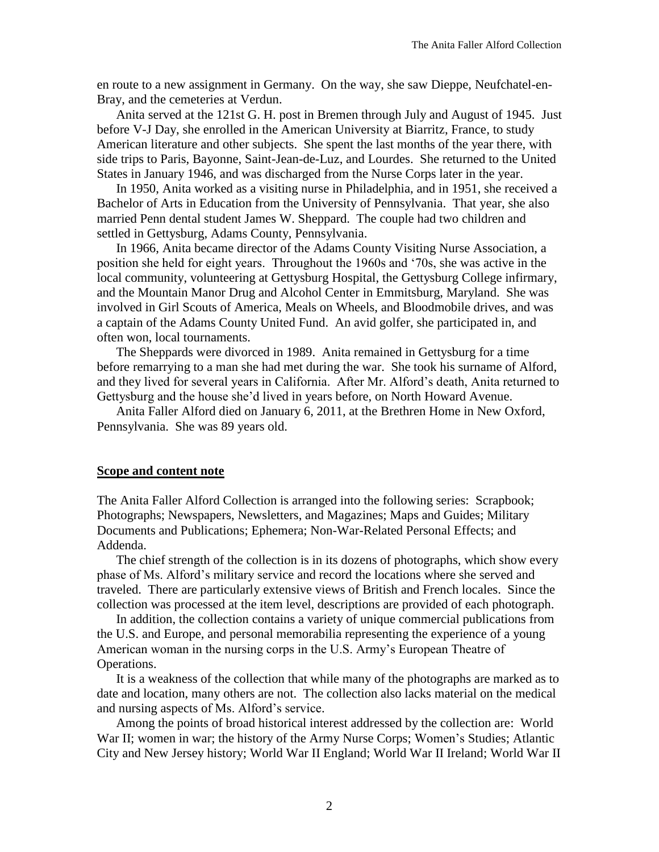en route to a new assignment in Germany. On the way, she saw Dieppe, Neufchatel-en-Bray, and the cemeteries at Verdun.

Anita served at the 121st G. H. post in Bremen through July and August of 1945. Just before V-J Day, she enrolled in the American University at Biarritz, France, to study American literature and other subjects. She spent the last months of the year there, with side trips to Paris, Bayonne, Saint-Jean-de-Luz, and Lourdes. She returned to the United States in January 1946, and was discharged from the Nurse Corps later in the year.

In 1950, Anita worked as a visiting nurse in Philadelphia, and in 1951, she received a Bachelor of Arts in Education from the University of Pennsylvania. That year, she also married Penn dental student James W. Sheppard. The couple had two children and settled in Gettysburg, Adams County, Pennsylvania.

In 1966, Anita became director of the Adams County Visiting Nurse Association, a position she held for eight years. Throughout the 1960s and '70s, she was active in the local community, volunteering at Gettysburg Hospital, the Gettysburg College infirmary, and the Mountain Manor Drug and Alcohol Center in Emmitsburg, Maryland. She was involved in Girl Scouts of America, Meals on Wheels, and Bloodmobile drives, and was a captain of the Adams County United Fund. An avid golfer, she participated in, and often won, local tournaments.

The Sheppards were divorced in 1989. Anita remained in Gettysburg for a time before remarrying to a man she had met during the war. She took his surname of Alford, and they lived for several years in California. After Mr. Alford's death, Anita returned to Gettysburg and the house she'd lived in years before, on North Howard Avenue.

Anita Faller Alford died on January 6, 2011, at the Brethren Home in New Oxford, Pennsylvania. She was 89 years old.

#### **Scope and content note**

The Anita Faller Alford Collection is arranged into the following series: Scrapbook; Photographs; Newspapers, Newsletters, and Magazines; Maps and Guides; Military Documents and Publications; Ephemera; Non-War-Related Personal Effects; and Addenda.

The chief strength of the collection is in its dozens of photographs, which show every phase of Ms. Alford's military service and record the locations where she served and traveled. There are particularly extensive views of British and French locales. Since the collection was processed at the item level, descriptions are provided of each photograph.

In addition, the collection contains a variety of unique commercial publications from the U.S. and Europe, and personal memorabilia representing the experience of a young American woman in the nursing corps in the U.S. Army's European Theatre of Operations.

It is a weakness of the collection that while many of the photographs are marked as to date and location, many others are not. The collection also lacks material on the medical and nursing aspects of Ms. Alford's service.

Among the points of broad historical interest addressed by the collection are: World War II; women in war; the history of the Army Nurse Corps; Women's Studies; Atlantic City and New Jersey history; World War II England; World War II Ireland; World War II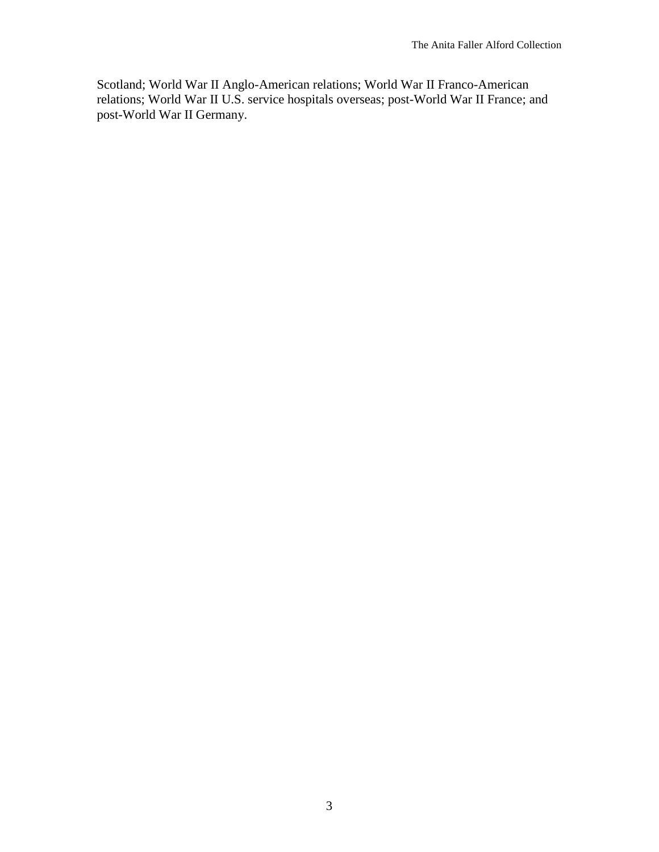Scotland; World War II Anglo-American relations; World War II Franco-American relations; World War II U.S. service hospitals overseas; post-World War II France; and post-World War II Germany.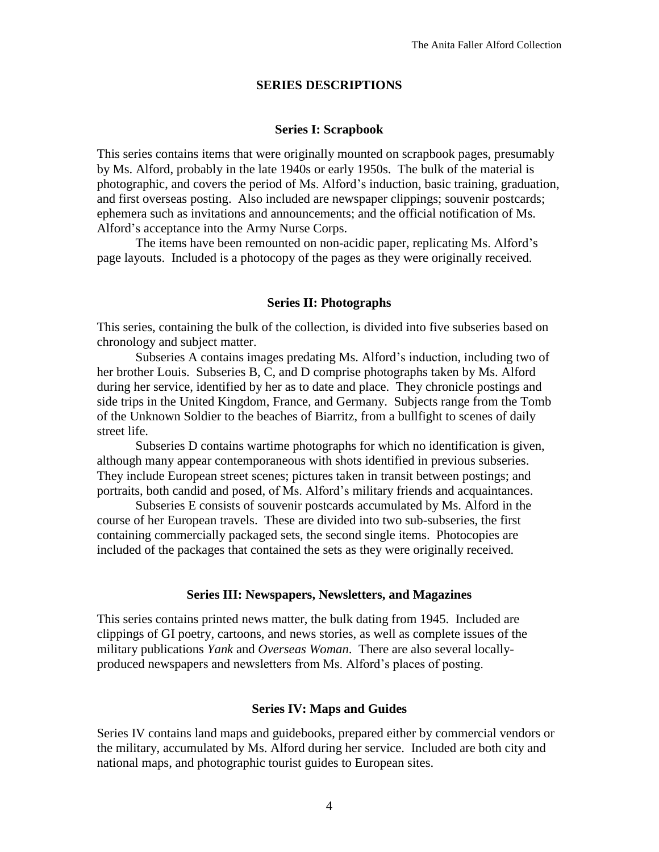#### **SERIES DESCRIPTIONS**

#### **Series I: Scrapbook**

This series contains items that were originally mounted on scrapbook pages, presumably by Ms. Alford, probably in the late 1940s or early 1950s. The bulk of the material is photographic, and covers the period of Ms. Alford's induction, basic training, graduation, and first overseas posting. Also included are newspaper clippings; souvenir postcards; ephemera such as invitations and announcements; and the official notification of Ms. Alford's acceptance into the Army Nurse Corps.

The items have been remounted on non-acidic paper, replicating Ms. Alford's page layouts. Included is a photocopy of the pages as they were originally received.

#### **Series II: Photographs**

This series, containing the bulk of the collection, is divided into five subseries based on chronology and subject matter.

Subseries A contains images predating Ms. Alford's induction, including two of her brother Louis. Subseries B, C, and D comprise photographs taken by Ms. Alford during her service, identified by her as to date and place. They chronicle postings and side trips in the United Kingdom, France, and Germany. Subjects range from the Tomb of the Unknown Soldier to the beaches of Biarritz, from a bullfight to scenes of daily street life.

Subseries D contains wartime photographs for which no identification is given, although many appear contemporaneous with shots identified in previous subseries. They include European street scenes; pictures taken in transit between postings; and portraits, both candid and posed, of Ms. Alford's military friends and acquaintances.

Subseries E consists of souvenir postcards accumulated by Ms. Alford in the course of her European travels. These are divided into two sub-subseries, the first containing commercially packaged sets, the second single items. Photocopies are included of the packages that contained the sets as they were originally received.

#### **Series III: Newspapers, Newsletters, and Magazines**

This series contains printed news matter, the bulk dating from 1945. Included are clippings of GI poetry, cartoons, and news stories, as well as complete issues of the military publications *Yank* and *Overseas Woman*. There are also several locallyproduced newspapers and newsletters from Ms. Alford's places of posting.

#### **Series IV: Maps and Guides**

Series IV contains land maps and guidebooks, prepared either by commercial vendors or the military, accumulated by Ms. Alford during her service. Included are both city and national maps, and photographic tourist guides to European sites.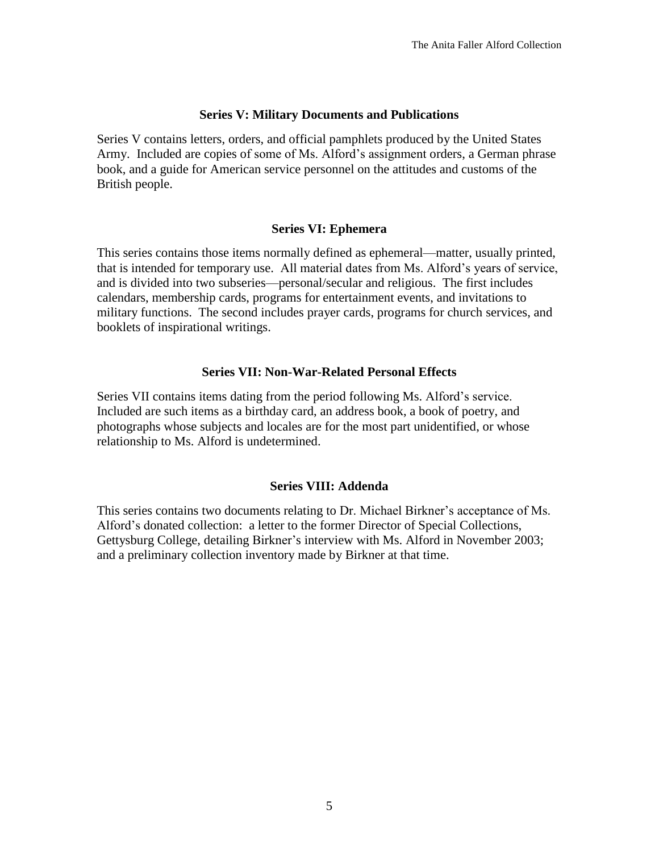### **Series V: Military Documents and Publications**

Series V contains letters, orders, and official pamphlets produced by the United States Army. Included are copies of some of Ms. Alford's assignment orders, a German phrase book, and a guide for American service personnel on the attitudes and customs of the British people.

# **Series VI: Ephemera**

This series contains those items normally defined as ephemeral—matter, usually printed, that is intended for temporary use. All material dates from Ms. Alford's years of service, and is divided into two subseries—personal/secular and religious. The first includes calendars, membership cards, programs for entertainment events, and invitations to military functions. The second includes prayer cards, programs for church services, and booklets of inspirational writings.

#### **Series VII: Non-War-Related Personal Effects**

Series VII contains items dating from the period following Ms. Alford's service. Included are such items as a birthday card, an address book, a book of poetry, and photographs whose subjects and locales are for the most part unidentified, or whose relationship to Ms. Alford is undetermined.

# **Series VIII: Addenda**

This series contains two documents relating to Dr. Michael Birkner's acceptance of Ms. Alford's donated collection: a letter to the former Director of Special Collections, Gettysburg College, detailing Birkner's interview with Ms. Alford in November 2003; and a preliminary collection inventory made by Birkner at that time.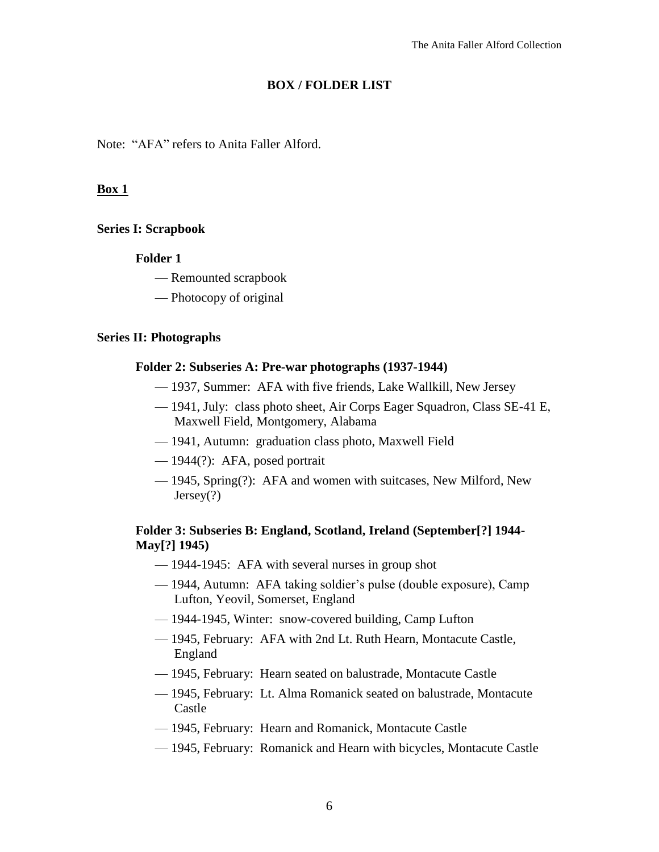# **BOX / FOLDER LIST**

Note: "AFA" refers to Anita Faller Alford.

# **Box 1**

#### **Series I: Scrapbook**

#### **Folder 1**

- Remounted scrapbook
- Photocopy of original

#### **Series II: Photographs**

#### **Folder 2: Subseries A: Pre-war photographs (1937-1944)**

- 1937, Summer: AFA with five friends, Lake Wallkill, New Jersey
- 1941, July: class photo sheet, Air Corps Eager Squadron, Class SE-41 E, Maxwell Field, Montgomery, Alabama
- 1941, Autumn: graduation class photo, Maxwell Field
- 1944(?): AFA, posed portrait
- 1945, Spring(?): AFA and women with suitcases, New Milford, New Jersey(?)

# **Folder 3: Subseries B: England, Scotland, Ireland (September[?] 1944- May[?] 1945)**

- 1944-1945: AFA with several nurses in group shot
- 1944, Autumn: AFA taking soldier's pulse (double exposure), Camp Lufton, Yeovil, Somerset, England
- 1944-1945, Winter: snow-covered building, Camp Lufton
- 1945, February: AFA with 2nd Lt. Ruth Hearn, Montacute Castle, England
- 1945, February: Hearn seated on balustrade, Montacute Castle
- 1945, February: Lt. Alma Romanick seated on balustrade, Montacute Castle
- 1945, February: Hearn and Romanick, Montacute Castle
- 1945, February: Romanick and Hearn with bicycles, Montacute Castle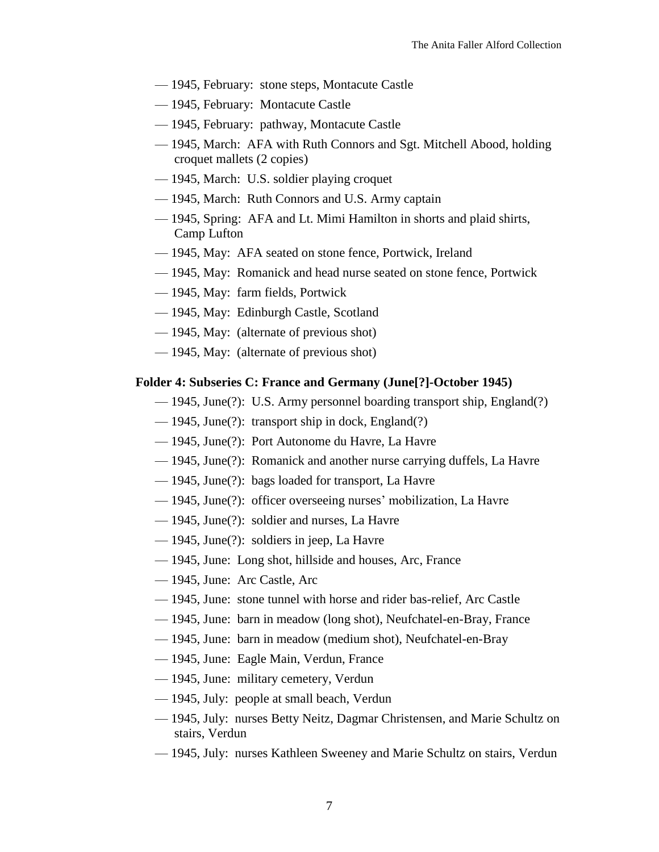- 1945, February: stone steps, Montacute Castle
- 1945, February: Montacute Castle
- 1945, February: pathway, Montacute Castle
- 1945, March: AFA with Ruth Connors and Sgt. Mitchell Abood, holding croquet mallets (2 copies)
- 1945, March: U.S. soldier playing croquet
- 1945, March: Ruth Connors and U.S. Army captain
- 1945, Spring: AFA and Lt. Mimi Hamilton in shorts and plaid shirts, Camp Lufton
- 1945, May: AFA seated on stone fence, Portwick, Ireland
- 1945, May: Romanick and head nurse seated on stone fence, Portwick
- 1945, May: farm fields, Portwick
- 1945, May: Edinburgh Castle, Scotland
- 1945, May: (alternate of previous shot)
- 1945, May: (alternate of previous shot)

#### **Folder 4: Subseries C: France and Germany (June[?]-October 1945)**

- 1945, June(?): U.S. Army personnel boarding transport ship, England(?)
- 1945, June(?): transport ship in dock, England(?)
- 1945, June(?): Port Autonome du Havre, La Havre
- 1945, June(?): Romanick and another nurse carrying duffels, La Havre
- 1945, June(?): bags loaded for transport, La Havre
- 1945, June(?): officer overseeing nurses' mobilization, La Havre
- 1945, June(?): soldier and nurses, La Havre
- 1945, June(?): soldiers in jeep, La Havre
- 1945, June: Long shot, hillside and houses, Arc, France
- 1945, June: Arc Castle, Arc
- 1945, June: stone tunnel with horse and rider bas-relief, Arc Castle
- 1945, June: barn in meadow (long shot), Neufchatel-en-Bray, France
- 1945, June: barn in meadow (medium shot), Neufchatel-en-Bray
- 1945, June: Eagle Main, Verdun, France
- 1945, June: military cemetery, Verdun
- 1945, July: people at small beach, Verdun
- 1945, July: nurses Betty Neitz, Dagmar Christensen, and Marie Schultz on stairs, Verdun
- 1945, July: nurses Kathleen Sweeney and Marie Schultz on stairs, Verdun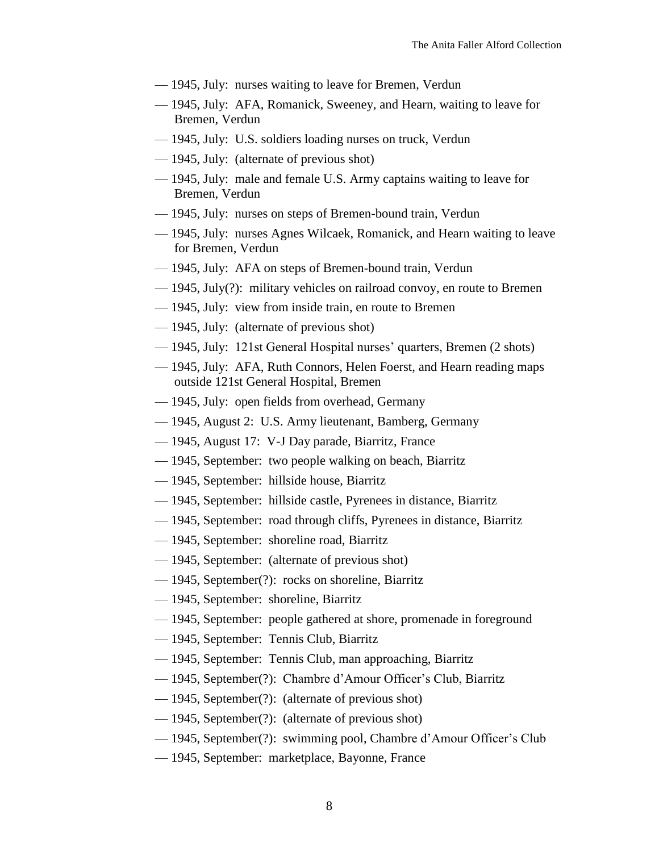- 1945, July: nurses waiting to leave for Bremen, Verdun
- 1945, July: AFA, Romanick, Sweeney, and Hearn, waiting to leave for Bremen, Verdun
- 1945, July: U.S. soldiers loading nurses on truck, Verdun
- 1945, July: (alternate of previous shot)
- 1945, July: male and female U.S. Army captains waiting to leave for Bremen, Verdun
- 1945, July: nurses on steps of Bremen-bound train, Verdun
- 1945, July: nurses Agnes Wilcaek, Romanick, and Hearn waiting to leave for Bremen, Verdun
- 1945, July: AFA on steps of Bremen-bound train, Verdun
- 1945, July(?): military vehicles on railroad convoy, en route to Bremen
- 1945, July: view from inside train, en route to Bremen
- 1945, July: (alternate of previous shot)
- 1945, July: 121st General Hospital nurses' quarters, Bremen (2 shots)
- 1945, July: AFA, Ruth Connors, Helen Foerst, and Hearn reading maps outside 121st General Hospital, Bremen
- 1945, July: open fields from overhead, Germany
- 1945, August 2: U.S. Army lieutenant, Bamberg, Germany
- 1945, August 17: V-J Day parade, Biarritz, France
- 1945, September: two people walking on beach, Biarritz
- 1945, September: hillside house, Biarritz
- 1945, September: hillside castle, Pyrenees in distance, Biarritz
- 1945, September: road through cliffs, Pyrenees in distance, Biarritz
- 1945, September: shoreline road, Biarritz
- 1945, September: (alternate of previous shot)
- 1945, September(?): rocks on shoreline, Biarritz
- 1945, September: shoreline, Biarritz
- 1945, September: people gathered at shore, promenade in foreground
- 1945, September: Tennis Club, Biarritz
- 1945, September: Tennis Club, man approaching, Biarritz
- 1945, September(?): Chambre d'Amour Officer's Club, Biarritz
- 1945, September(?): (alternate of previous shot)
- 1945, September(?): (alternate of previous shot)
- 1945, September(?): swimming pool, Chambre d'Amour Officer's Club
- 1945, September: marketplace, Bayonne, France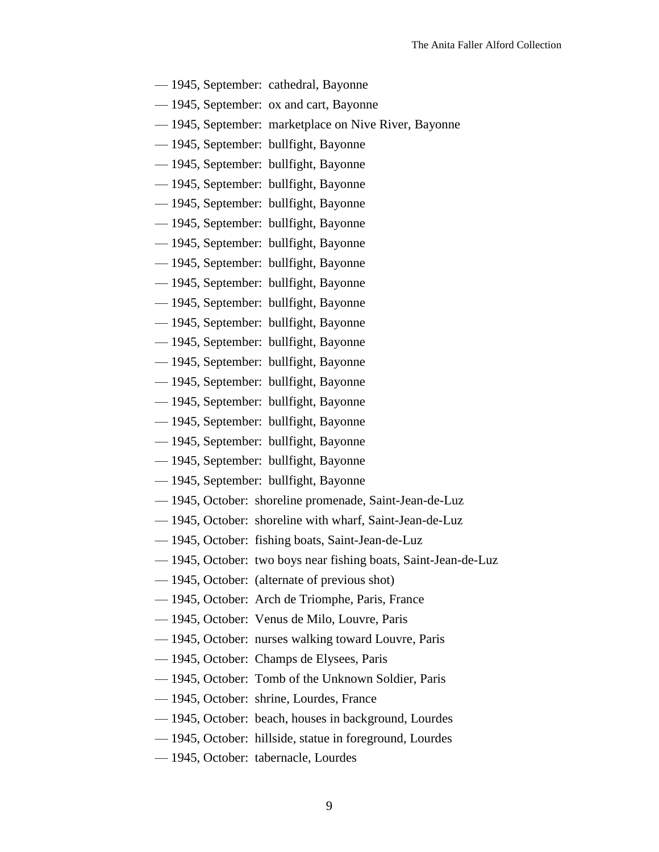- 1945, September: cathedral, Bayonne
- 1945, September: ox and cart, Bayonne
- 1945, September: marketplace on Nive River, Bayonne
- 1945, September: bullfight, Bayonne
- 1945, September: bullfight, Bayonne
- 1945, September: bullfight, Bayonne
- 1945, September: bullfight, Bayonne
- 1945, September: bullfight, Bayonne
- 1945, September: bullfight, Bayonne
- 1945, September: bullfight, Bayonne
- 1945, September: bullfight, Bayonne
- 1945, September: bullfight, Bayonne
- 1945, September: bullfight, Bayonne
- 1945, September: bullfight, Bayonne
- 1945, September: bullfight, Bayonne
- 1945, September: bullfight, Bayonne
- 1945, September: bullfight, Bayonne
- 1945, September: bullfight, Bayonne
- 1945, September: bullfight, Bayonne
- 1945, September: bullfight, Bayonne
- 1945, September: bullfight, Bayonne
- 1945, October: shoreline promenade, Saint-Jean-de-Luz
- 1945, October: shoreline with wharf, Saint-Jean-de-Luz
- 1945, October: fishing boats, Saint-Jean-de-Luz
- 1945, October: two boys near fishing boats, Saint-Jean-de-Luz
- 1945, October: (alternate of previous shot)
- 1945, October: Arch de Triomphe, Paris, France
- 1945, October: Venus de Milo, Louvre, Paris
- 1945, October: nurses walking toward Louvre, Paris
- 1945, October: Champs de Elysees, Paris
- 1945, October: Tomb of the Unknown Soldier, Paris
- 1945, October: shrine, Lourdes, France
- 1945, October: beach, houses in background, Lourdes
- 1945, October: hillside, statue in foreground, Lourdes
- 1945, October: tabernacle, Lourdes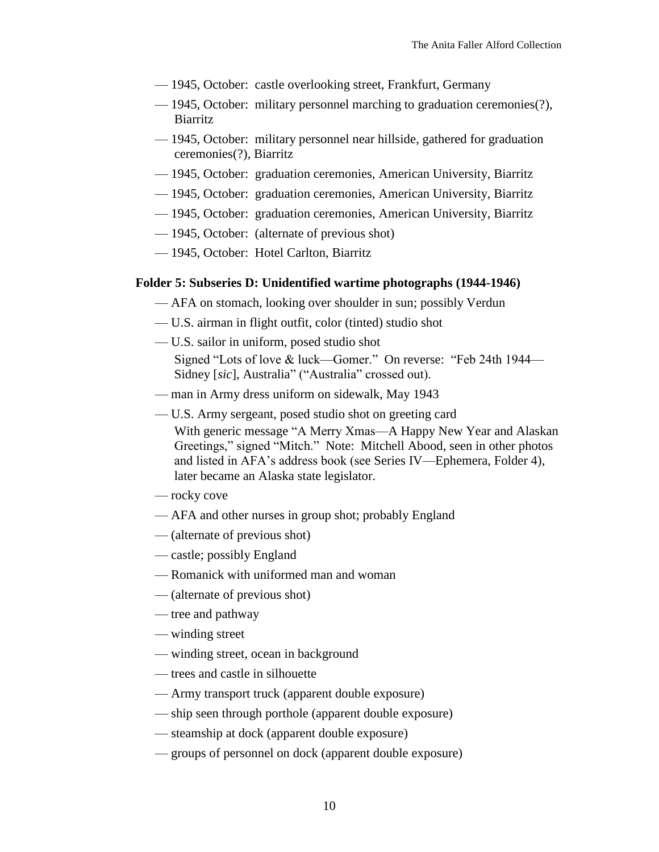- 1945, October: castle overlooking street, Frankfurt, Germany
- 1945, October: military personnel marching to graduation ceremonies(?), **Biarritz**
- 1945, October: military personnel near hillside, gathered for graduation ceremonies(?), Biarritz
- 1945, October: graduation ceremonies, American University, Biarritz
- 1945, October: graduation ceremonies, American University, Biarritz
- 1945, October: graduation ceremonies, American University, Biarritz
- 1945, October: (alternate of previous shot)
- 1945, October: Hotel Carlton, Biarritz

#### **Folder 5: Subseries D: Unidentified wartime photographs (1944-1946)**

- AFA on stomach, looking over shoulder in sun; possibly Verdun
- U.S. airman in flight outfit, color (tinted) studio shot
- U.S. sailor in uniform, posed studio shot Signed "Lots of love & luck—Gomer." On reverse: "Feb 24th 1944— Sidney [sic], Australia" ("Australia" crossed out).
- man in Army dress uniform on sidewalk, May 1943
- U.S. Army sergeant, posed studio shot on greeting card
	- With generic message "A Merry Xmas—A Happy New Year and Alaskan Greetings," signed "Mitch." Note: Mitchell Abood, seen in other photos and listed in AFA's address book (see Series IV—Ephemera, Folder 4), later became an Alaska state legislator.
- rocky cove
- AFA and other nurses in group shot; probably England
- (alternate of previous shot)
- castle; possibly England
- Romanick with uniformed man and woman
- (alternate of previous shot)
- tree and pathway
- winding street
- winding street, ocean in background
- trees and castle in silhouette
- Army transport truck (apparent double exposure)
- ship seen through porthole (apparent double exposure)
- steamship at dock (apparent double exposure)
- groups of personnel on dock (apparent double exposure)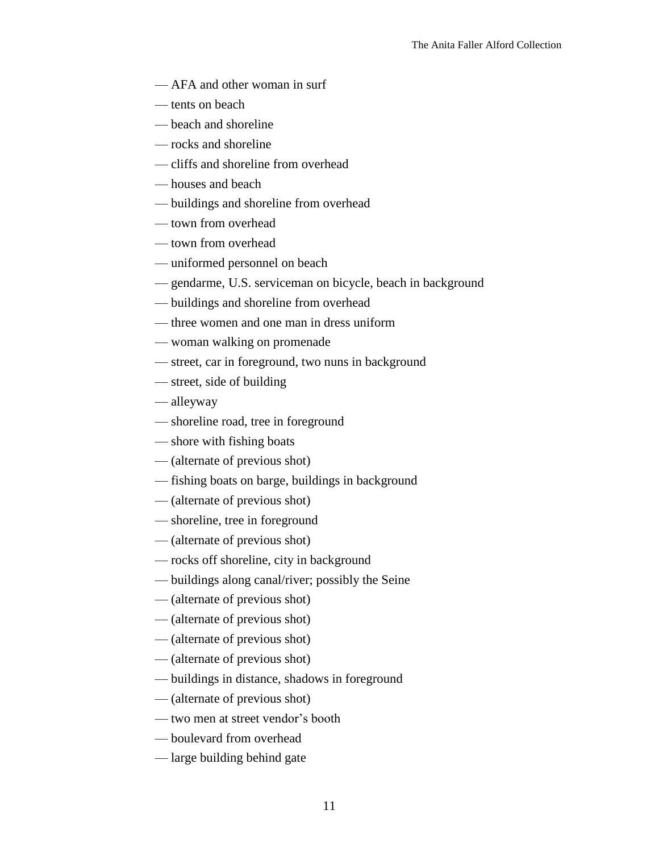- AFA and other woman in surf
- tents on beach
- beach and shoreline
- rocks and shoreline
- cliffs and shoreline from overhead
- houses and beach
- buildings and shoreline from overhead
- town from overhead
- town from overhead
- uniformed personnel on beach
- gendarme, U.S. serviceman on bicycle, beach in background
- buildings and shoreline from overhead
- three women and one man in dress uniform
- woman walking on promenade
- street, car in foreground, two nuns in background
- street, side of building
- alleyway
- shoreline road, tree in foreground
- shore with fishing boats
- (alternate of previous shot)
- fishing boats on barge, buildings in background
- (alternate of previous shot)
- shoreline, tree in foreground
- (alternate of previous shot)
- rocks off shoreline, city in background
- buildings along canal/river; possibly the Seine
- (alternate of previous shot)
- (alternate of previous shot)
- (alternate of previous shot)
- (alternate of previous shot)
- buildings in distance, shadows in foreground
- (alternate of previous shot)
- two men at street vendor's booth
- boulevard from overhead
- large building behind gate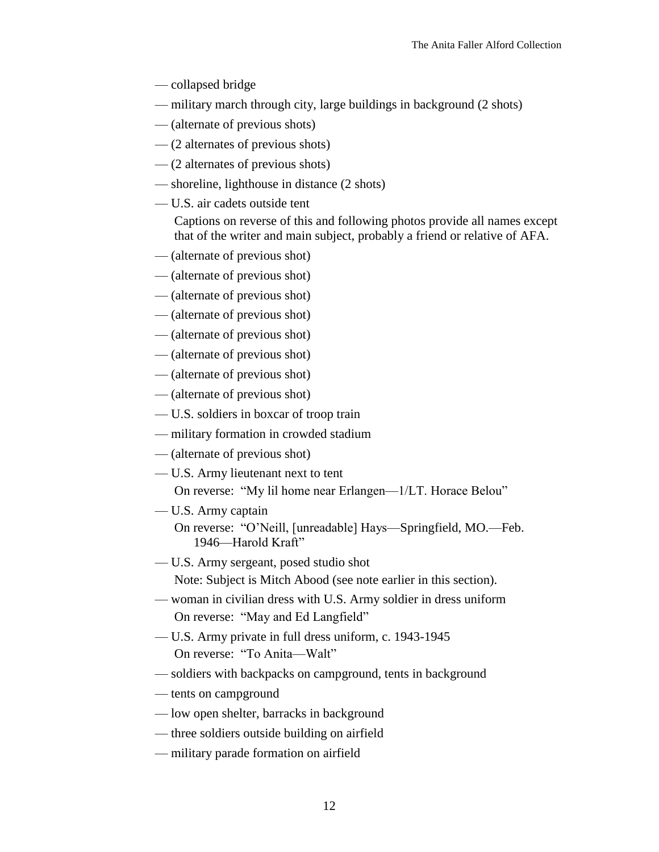- collapsed bridge
- military march through city, large buildings in background (2 shots)
- (alternate of previous shots)
- (2 alternates of previous shots)
- (2 alternates of previous shots)
- shoreline, lighthouse in distance (2 shots)
- U.S. air cadets outside tent

Captions on reverse of this and following photos provide all names except that of the writer and main subject, probably a friend or relative of AFA.

- (alternate of previous shot)
- (alternate of previous shot)
- (alternate of previous shot)
- (alternate of previous shot)
- (alternate of previous shot)
- (alternate of previous shot)
- (alternate of previous shot)
- (alternate of previous shot)
- U.S. soldiers in boxcar of troop train
- military formation in crowded stadium
- (alternate of previous shot)
- U.S. Army lieutenant next to tent On reverse: "My lil home near Erlangen—1/LT. Horace Belou"
- U.S. Army captain On reverse: "O'Neill, [unreadable] Hays—Springfield, MO.—Feb. 1946—Harold Kraft"
- U.S. Army sergeant, posed studio shot Note: Subject is Mitch Abood (see note earlier in this section).
- woman in civilian dress with U.S. Army soldier in dress uniform On reverse: "May and Ed Langfield"
- U.S. Army private in full dress uniform, c. 1943-1945 On reverse: "To Anita—Walt"
- soldiers with backpacks on campground, tents in background
- tents on campground
- low open shelter, barracks in background
- three soldiers outside building on airfield
- military parade formation on airfield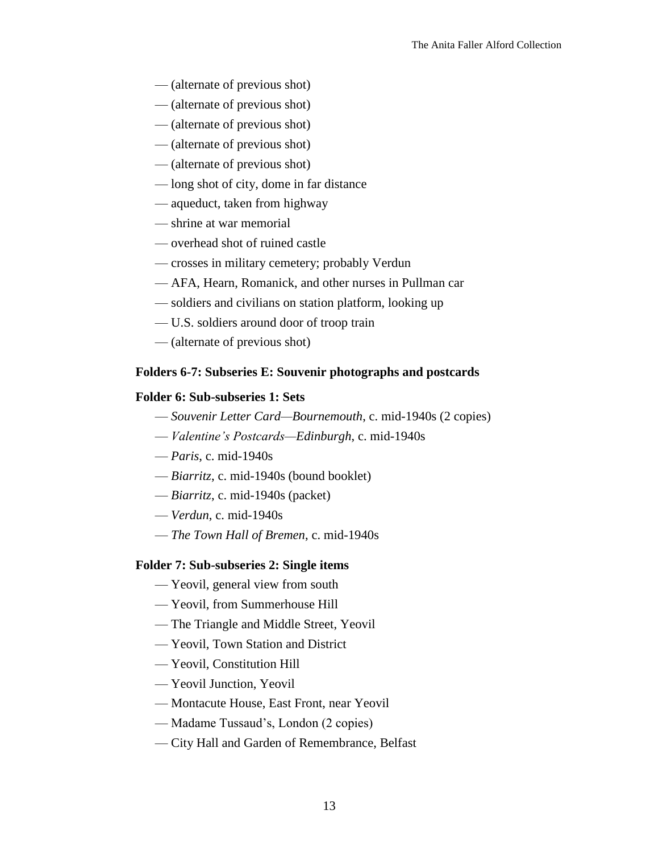- (alternate of previous shot)
- (alternate of previous shot)
- (alternate of previous shot)
- (alternate of previous shot)
- (alternate of previous shot)
- long shot of city, dome in far distance
- aqueduct, taken from highway
- shrine at war memorial
- overhead shot of ruined castle
- crosses in military cemetery; probably Verdun
- AFA, Hearn, Romanick, and other nurses in Pullman car
- soldiers and civilians on station platform, looking up
- U.S. soldiers around door of troop train
- (alternate of previous shot)

#### **Folders 6-7: Subseries E: Souvenir photographs and postcards**

#### **Folder 6: Sub-subseries 1: Sets**

- *Souvenir Letter Card—Bournemouth*, c. mid-1940s (2 copies)
- *Valentine's Postcards—Edinburgh*, c. mid-1940s
- *Paris*, c. mid-1940s
- *Biarritz*, c. mid-1940s (bound booklet)
- *Biarritz*, c. mid-1940s (packet)
- *Verdun*, c. mid-1940s
- *The Town Hall of Bremen*, c. mid-1940s

#### **Folder 7: Sub-subseries 2: Single items**

- Yeovil, general view from south
- Yeovil, from Summerhouse Hill
- The Triangle and Middle Street, Yeovil
- Yeovil, Town Station and District
- Yeovil, Constitution Hill
- Yeovil Junction, Yeovil
- Montacute House, East Front, near Yeovil
- Madame Tussaud's, London (2 copies)
- City Hall and Garden of Remembrance, Belfast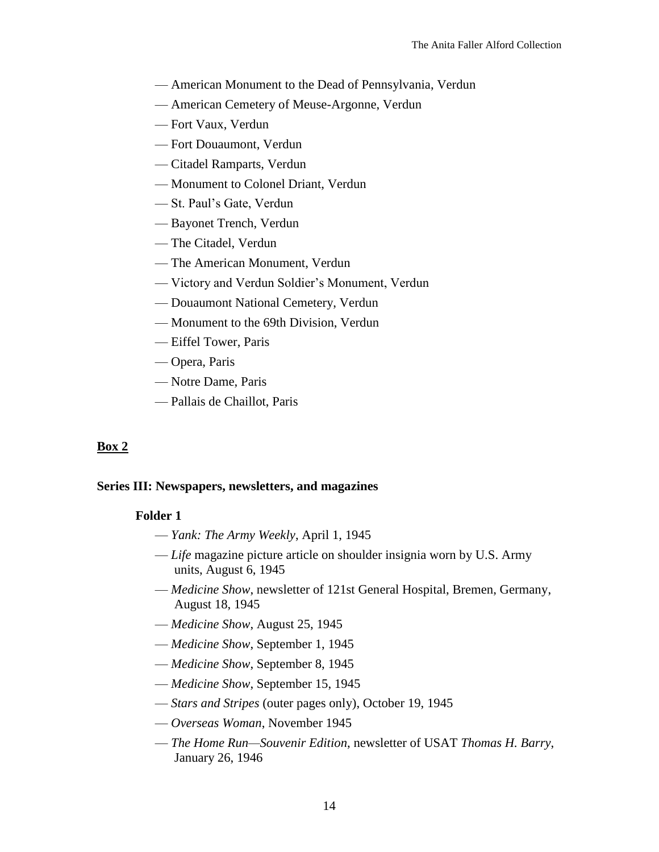- American Monument to the Dead of Pennsylvania, Verdun
- American Cemetery of Meuse-Argonne, Verdun
- Fort Vaux, Verdun
- Fort Douaumont, Verdun
- Citadel Ramparts, Verdun
- Monument to Colonel Driant, Verdun
- St. Paul's Gate, Verdun
- Bayonet Trench, Verdun
- The Citadel, Verdun
- The American Monument, Verdun
- Victory and Verdun Soldier's Monument, Verdun
- Douaumont National Cemetery, Verdun
- Monument to the 69th Division, Verdun
- Eiffel Tower, Paris
- Opera, Paris
- Notre Dame, Paris
- Pallais de Chaillot, Paris

# **Box 2**

# **Series III: Newspapers, newsletters, and magazines**

# **Folder 1**

- *Yank: The Army Weekly*, April 1, 1945
- *Life* magazine picture article on shoulder insignia worn by U.S. Army units, August 6, 1945
- *Medicine Show*, newsletter of 121st General Hospital, Bremen, Germany, August 18, 1945
- *Medicine Show*, August 25, 1945
- *Medicine Show*, September 1, 1945
- *Medicine Show*, September 8, 1945
- *Medicine Show*, September 15, 1945
- *Stars and Stripes* (outer pages only), October 19, 1945
- *Overseas Woman*, November 1945
- *The Home Run—Souvenir Edition*, newsletter of USAT *Thomas H. Barry*, January 26, 1946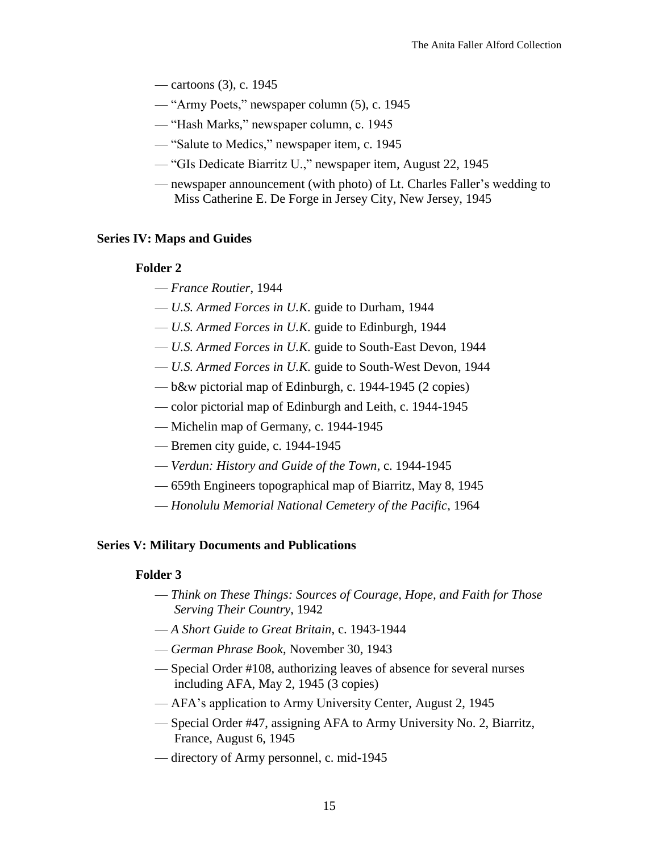- cartoons (3), c. 1945
- "Army Poets," newspaper column (5), c. 1945
- "Hash Marks," newspaper column, c. 1945
- "Salute to Medics," newspaper item, c. 1945
- "GIs Dedicate Biarritz U.," newspaper item, August 22, 1945
- newspaper announcement (with photo) of Lt. Charles Faller's wedding to Miss Catherine E. De Forge in Jersey City, New Jersey, 1945

#### **Series IV: Maps and Guides**

#### **Folder 2**

- *France Routier*, 1944
- *U.S. Armed Forces in U.K.* guide to Durham, 1944
- *U.S. Armed Forces in U.K.* guide to Edinburgh, 1944
- *U.S. Armed Forces in U.K.* guide to South-East Devon, 1944
- *U.S. Armed Forces in U.K.* guide to South-West Devon, 1944
- b&w pictorial map of Edinburgh, c. 1944-1945 (2 copies)
- color pictorial map of Edinburgh and Leith, c. 1944-1945
- Michelin map of Germany, c. 1944-1945
- Bremen city guide, c. 1944-1945
- *Verdun: History and Guide of the Town*, c. 1944-1945
- 659th Engineers topographical map of Biarritz, May 8, 1945
- *Honolulu Memorial National Cemetery of the Pacific*, 1964

#### **Series V: Military Documents and Publications**

#### **Folder 3**

- *Think on These Things: Sources of Courage, Hope, and Faith for Those Serving Their Country*, 1942
- *A Short Guide to Great Britain*, c. 1943-1944
- *German Phrase Book*, November 30, 1943
- Special Order #108, authorizing leaves of absence for several nurses including AFA, May 2, 1945 (3 copies)
- AFA's application to Army University Center, August 2, 1945
- Special Order #47, assigning AFA to Army University No. 2, Biarritz, France, August 6, 1945
- directory of Army personnel, c. mid-1945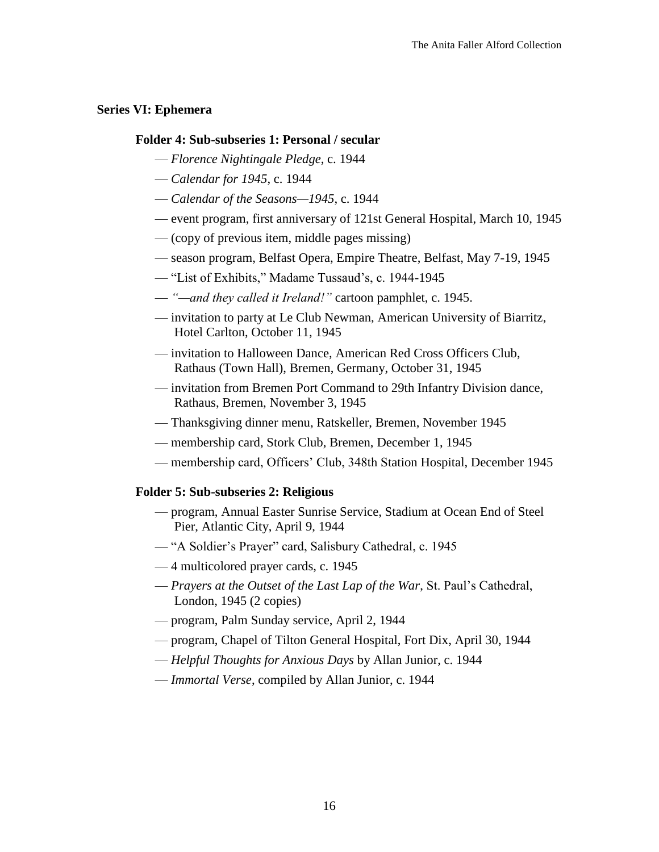### **Series VI: Ephemera**

#### **Folder 4: Sub-subseries 1: Personal / secular**

- *Florence Nightingale Pledge*, c. 1944
- *Calendar for 1945*, c. 1944
- *Calendar of the Seasons—1945*, c. 1944
- event program, first anniversary of 121st General Hospital, March 10, 1945
- (copy of previous item, middle pages missing)
- season program, Belfast Opera, Empire Theatre, Belfast, May 7-19, 1945
- "List of Exhibits," Madame Tussaud's, c. 1944-1945
- *"—and they called it Ireland!"* cartoon pamphlet, c. 1945.
- invitation to party at Le Club Newman, American University of Biarritz, Hotel Carlton, October 11, 1945
- invitation to Halloween Dance, American Red Cross Officers Club, Rathaus (Town Hall), Bremen, Germany, October 31, 1945
- invitation from Bremen Port Command to 29th Infantry Division dance, Rathaus, Bremen, November 3, 1945
- Thanksgiving dinner menu, Ratskeller, Bremen, November 1945
- membership card, Stork Club, Bremen, December 1, 1945
- membership card, Officers' Club, 348th Station Hospital, December 1945

#### **Folder 5: Sub-subseries 2: Religious**

- program, Annual Easter Sunrise Service, Stadium at Ocean End of Steel Pier, Atlantic City, April 9, 1944
- "A Soldier's Prayer" card, Salisbury Cathedral, c. 1945
- 4 multicolored prayer cards, c. 1945
- *Prayers at the Outset of the Last Lap of the War*, St. Paul's Cathedral, London, 1945 (2 copies)
- program, Palm Sunday service, April 2, 1944
- program, Chapel of Tilton General Hospital, Fort Dix, April 30, 1944
- *Helpful Thoughts for Anxious Days* by Allan Junior, c. 1944
- *Immortal Verse*, compiled by Allan Junior, c. 1944